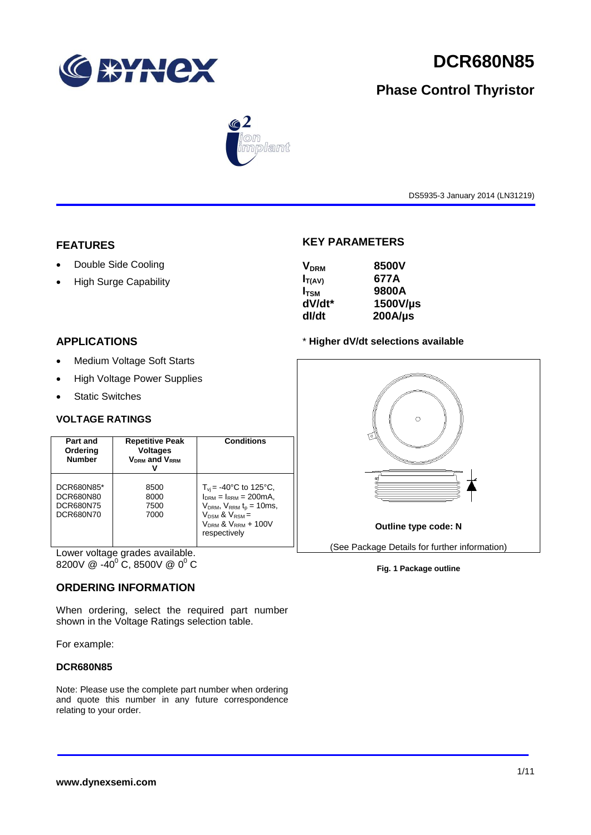

# **DCR680N85**

# **Phase Control Thyristor**



DS5935-3 January 2014 (LN31219)

# **FEATURES**

- Double Side Cooling
- High Surge Capability

# **APPLICATIONS**

- Medium Voltage Soft Starts
- High Voltage Power Supplies
- Static Switches

# **VOLTAGE RATINGS**

| Part and<br>Ordering<br><b>Number</b>                    | <b>Repetitive Peak</b><br><b>Voltages</b><br>$V_{DRM}$ and $V_{RRM}$ | Conditions                                                                                                                                                                                |
|----------------------------------------------------------|----------------------------------------------------------------------|-------------------------------------------------------------------------------------------------------------------------------------------------------------------------------------------|
| DCR680N85*<br>DCR680N80<br><b>DCR680N75</b><br>DCR680N70 | 8500<br>8000<br>7500<br>7000                                         | $T_{\rm vi}$ = -40°C to 125°C,<br>$I_{DRM} = I_{RRM} = 200 \text{mA}$<br>$V_{DRM}$ , $V_{RRM}$ $t_{p}$ = 10ms,<br>$V_{DSM}$ & $V_{RSM}$ =<br>$V_{DRM}$ & $V_{RRM}$ + 100V<br>respectively |

Lower voltage grades available. 8200V @ -40 $^{\circ}$  C, 8500V @ 0 $^{\circ}$  C

# **ORDERING INFORMATION**

When ordering, select the required part number shown in the Voltage Ratings selection table.

For example:

### **DCR680N85**

Note: Please use the complete part number when ordering and quote this number in any future correspondence relating to your order.

# **KEY PARAMETERS**

| 8500V        |
|--------------|
| 677A         |
| 9800A        |
| 1500V/µs     |
| $200A/\mu s$ |
|              |

### \* **Higher dV/dt selections available**



**Fig. 1 Package outline**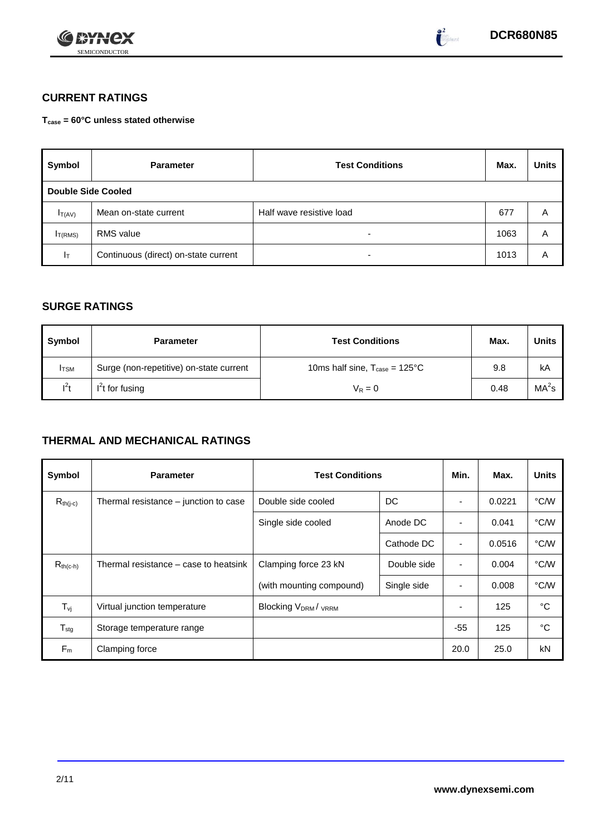



# **CURRENT RATINGS**

**Tcase = 60°C unless stated otherwise**

| Symbol                    | <b>Parameter</b>                     | <b>Test Conditions</b>   | Max. | <b>Units</b> |
|---------------------------|--------------------------------------|--------------------------|------|--------------|
| <b>Double Side Cooled</b> |                                      |                          |      |              |
| $I_{T(AV)}$               | Mean on-state current                | Half wave resistive load | 677  | Α            |
| IT(RMS)                   | <b>RMS</b> value                     | -                        | 1063 | Α            |
| Iτ                        | Continuous (direct) on-state current | -                        | 1013 | Α            |

# **SURGE RATINGS**

| Symbol       | <b>Parameter</b>                        | <b>Test Conditions</b>                           | Max. | Units             |
|--------------|-----------------------------------------|--------------------------------------------------|------|-------------------|
| <b>I</b> TSM | Surge (non-repetitive) on-state current | 10ms half sine, $T_{\text{case}} = 125^{\circ}C$ | 9.8  | kA                |
| $l^2t$       | $I2t$ for fusing                        | $V_R = 0$                                        | 0.48 | MA <sup>2</sup> s |

# **THERMAL AND MECHANICAL RATINGS**

| Symbol                         | <b>Parameter</b>                      | <b>Test Conditions</b>                      | Min.        | Max.           | <b>Units</b> |      |
|--------------------------------|---------------------------------------|---------------------------------------------|-------------|----------------|--------------|------|
| $R_{th(j-c)}$                  | Thermal resistance – junction to case | DC<br>Double side cooled                    |             |                | 0.0221       | °C/W |
|                                |                                       | Single side cooled                          | Anode DC    | ٠              | 0.041        | °C/W |
|                                |                                       |                                             | Cathode DC  | $\blacksquare$ | 0.0516       | °C/W |
| $R_{th(c-h)}$                  | Thermal resistance – case to heatsink | Clamping force 23 kN<br>Double side         |             | $\blacksquare$ | 0.004        | °C/W |
|                                |                                       | (with mounting compound)                    | Single side |                | 0.008        | °C/W |
| $T_{\rm\scriptscriptstyle VI}$ | Virtual junction temperature          | Blocking V <sub>DRM</sub> / <sub>VRRM</sub> |             |                | 125          | °C   |
| $T_{\text{stg}}$               | Storage temperature range             |                                             |             | $-55$          | 125          | °C   |
| $F_m$                          | Clamping force                        |                                             |             | 20.0           | 25.0         | kN   |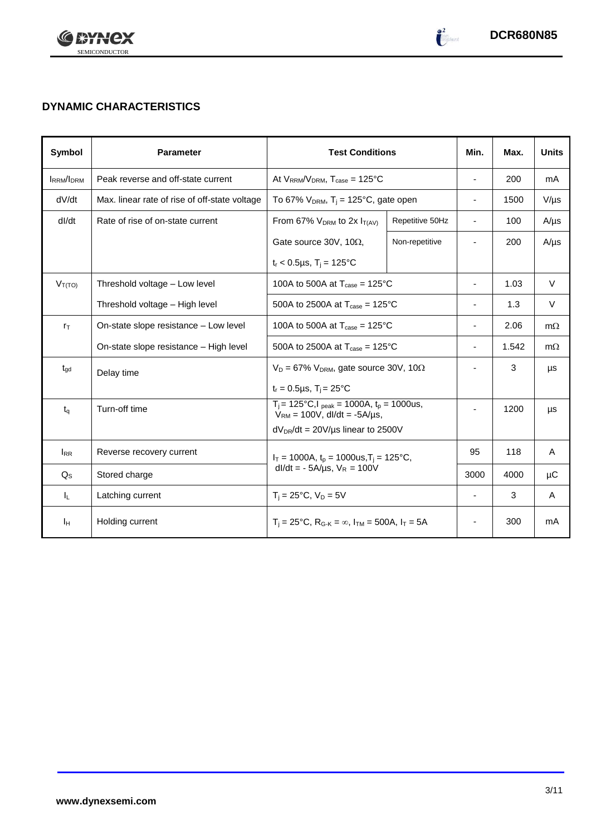

 $\begin{pmatrix} 2 \\ -2 \end{pmatrix}$ 

# **DYNAMIC CHARACTERISTICS**

| Symbol           | <b>Parameter</b>                                                                     | <b>Test Conditions</b>                                                                        | Min.                                              | Max.                     | <b>Units</b> |           |
|------------------|--------------------------------------------------------------------------------------|-----------------------------------------------------------------------------------------------|---------------------------------------------------|--------------------------|--------------|-----------|
| <b>IRRM/IDRM</b> | Peak reverse and off-state current                                                   | At $V_{RRM}/V_{DRM}$ , $T_{case} = 125^{\circ}C$                                              |                                                   | $\sim$                   | 200          | mA        |
| dV/dt            | Max. linear rate of rise of off-state voltage                                        | To 67% $V_{DRM}$ , T <sub>i</sub> = 125°C, gate open                                          |                                                   | $\blacksquare$           | 1500         | $V/\mu s$ |
| dl/dt            | Rate of rise of on-state current                                                     | From 67% $V_{DRM}$ to 2x $I_{T(AV)}$                                                          | Repetitive 50Hz                                   | $\sim$                   | 100          | $A/\mu s$ |
|                  |                                                                                      | Gate source 30V, 10 $\Omega$ ,                                                                | Non-repetitive                                    | $\overline{\phantom{a}}$ | 200          | $A/\mu s$ |
|                  |                                                                                      | $t_r < 0.5 \mu s$ , $T_i = 125^{\circ}C$                                                      |                                                   |                          |              |           |
| $V_{T(TO)}$      | Threshold voltage - Low level                                                        | 100A to 500A at $T_{\text{case}} = 125^{\circ}$ C                                             |                                                   | $\overline{\phantom{a}}$ | 1.03         | $\vee$    |
|                  | Threshold voltage - High level<br>500A to 2500A at $T_{\text{case}} = 125^{\circ}$ C |                                                                                               | $\blacksquare$                                    | 1.3                      | V            |           |
| $r_{\text{T}}$   | On-state slope resistance - Low level                                                |                                                                                               | 100A to 500A at $T_{\text{case}} = 125^{\circ}$ C |                          |              | $m\Omega$ |
|                  | On-state slope resistance - High level                                               | 500A to 2500A at $T_{\text{case}} = 125^{\circ}C$                                             |                                                   | $\overline{\phantom{a}}$ | 1.542        | $m\Omega$ |
| $t_{\text{qd}}$  | Delay time                                                                           | $V_D = 67\% V_{DRM}$ , gate source 30V, 10 $\Omega$                                           |                                                   | $\blacksquare$           | 3            | μs        |
|                  |                                                                                      | $t_r = 0.5 \mu s$ , $T_i = 25^{\circ}C$                                                       |                                                   |                          |              |           |
| $t_{q}$          | Turn-off time                                                                        | $T_i$ = 125°C, $I_{peak}$ = 1000A, $t_p$ = 1000us,<br>$V_{RM}$ = 100V, dl/dt = -5A/µs,        |                                                   |                          | 1200         | μs        |
|                  |                                                                                      | $dV_{DR}/dt = 20V/\mu s$ linear to 2500V                                                      |                                                   |                          |              |           |
| $I_{RR}$         | Reverse recovery current                                                             | $I_T = 1000A$ , $t_p = 1000us$ , $T_i = 125^{\circ}C$ ,<br>$dl/dt = -5A/\mu s$ , $V_R = 100V$ |                                                   | 95                       | 118          | A         |
| $Q_{\rm S}$      | Stored charge                                                                        |                                                                                               |                                                   | 3000                     | 4000         | μC        |
| IL.              | Latching current                                                                     | $T_i = 25^{\circ}C$ , $V_D = 5V$                                                              | ÷,                                                | 3                        | A            |           |
| Iн               | Holding current                                                                      | $T_i = 25^{\circ}C$ , $R_{G-K} = \infty$ , $I_{TM} = 500A$ , $I_T = 5A$                       |                                                   |                          | 300          | mA        |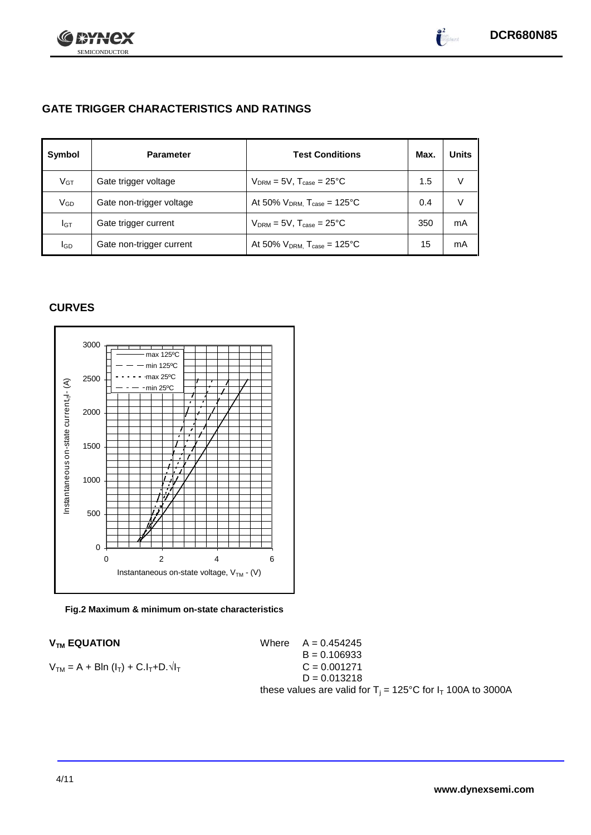

 $\bullet^2$ 

# **GATE TRIGGER CHARACTERISTICS AND RATINGS**

| Symbol          | <b>Parameter</b>         | <b>Test Conditions</b>                       | Max. | <b>Units</b> |
|-----------------|--------------------------|----------------------------------------------|------|--------------|
| V <sub>GT</sub> | Gate trigger voltage     | $V_{DRM}$ = 5V, $T_{case}$ = 25°C            | 1.5  | V            |
| VGD             | Gate non-trigger voltage | At 50% $V_{DRM}$ , $T_{case} = 125^{\circ}C$ | 0.4  | V            |
| Iст             | Gate trigger current     | $V_{DRM}$ = 5V, $T_{case}$ = 25°C            | 350  | mA           |
| <b>I</b> GD     | Gate non-trigger current | At 50% $V_{DRM}$ , $T_{case} = 125^{\circ}C$ | 15   | mA           |

# **CURVES**



**Fig.2 Maximum & minimum on-state characteristics**

 $V_{TM}$  **EQUATION** Where  $A = 0.454245$  $B = 0.106933$  $V_{TM} = A + B\ln(I_T) + C.I_T + D.\sqrt{I_T}$  C = 0.001271  $D = 0.013218$ these values are valid for  $T_i = 125^{\circ}C$  for  $I_T$  100A to 3000A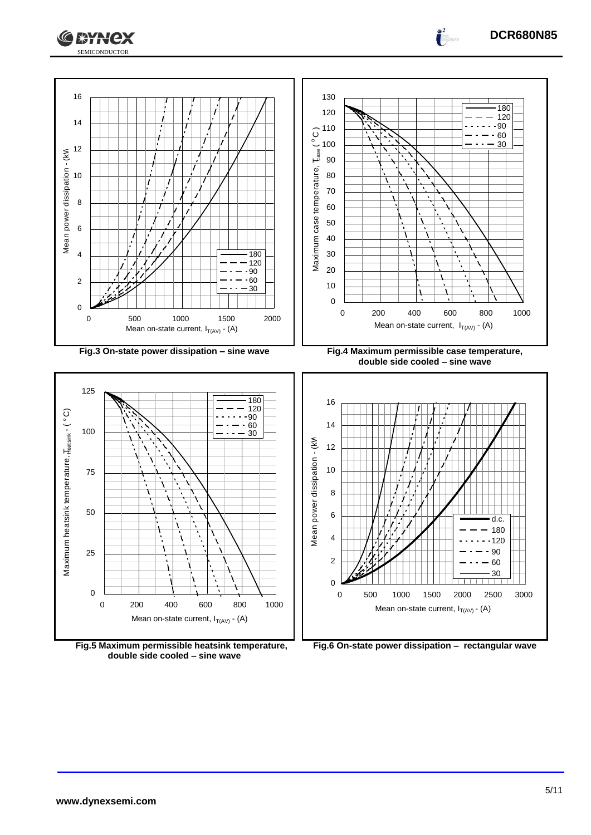

**Fig.5 Maximum permissible heatsink temperature, double side cooled – sine wave**

**Fig.6 On-state power dissipation – rectangular wave**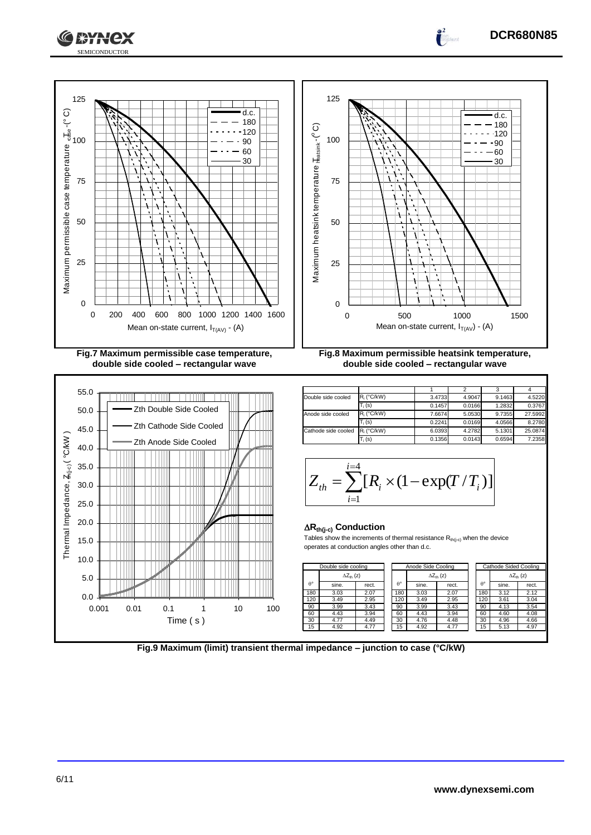



### **Rth(j-c) Conduction**

Tables show the increments of thermal resistance  $R_{th(j-c)}$  when the device operates at conduction angles other than d.c.

|               |      |     |          |    |     |                  | Double side cooling        |       |                  | Anode Side Cooling |                     |                  | Cathode Sided Cooling |                           |
|---------------|------|-----|----------|----|-----|------------------|----------------------------|-------|------------------|--------------------|---------------------|------------------|-----------------------|---------------------------|
| $\mathcal{L}$ |      |     |          |    |     |                  | $\Delta Z_{\text{th}}$ (z) |       |                  |                    | $\Delta Z_{th}$ (z) |                  |                       | $\Delta Z_{\text{th}}(z)$ |
|               |      |     |          |    |     | $\theta^{\circ}$ | sine.                      | rect. | $\theta^{\circ}$ | sine.              | rect.               | $\theta^{\circ}$ | sine.                 | rect.                     |
|               |      |     |          |    |     | 180              | 3.03                       | 2.07  | 180              | 3.03               | 2.07                | 180              | 3.12                  | 2.12                      |
|               |      |     |          |    |     | 120              | 3.49                       | 2.95  | 120              | 3.49               | 2.95                | 120              | 3.61                  | 3.04                      |
| 0.001         | 0.01 | 0.1 |          | 10 | 100 | 90               | 3.99                       | 3.43  | 90               | 3.99               | 3.43                | 90               | 4.13                  | 3.54                      |
|               |      |     |          |    |     | 60               | 4.43                       | 3.94  | 60               | 4.43               | 3.94                | 60               | 4.60                  | 4.08                      |
|               |      |     | Time (s) |    |     | 30               | 4.77                       | 4.49  | 30               | 4.76               | 4.48                | 30               | 4.96                  | 4.66                      |
|               |      |     |          |    |     | 15               | 4.92                       | 4.77  | 15               | 4.92               | 4.77                | 15               | 5.13                  | 4.97                      |
|               |      |     |          |    |     |                  |                            |       |                  |                    |                     |                  |                       |                           |



**DCR680N85**

0.0 5.0 10.0 15.0 20.0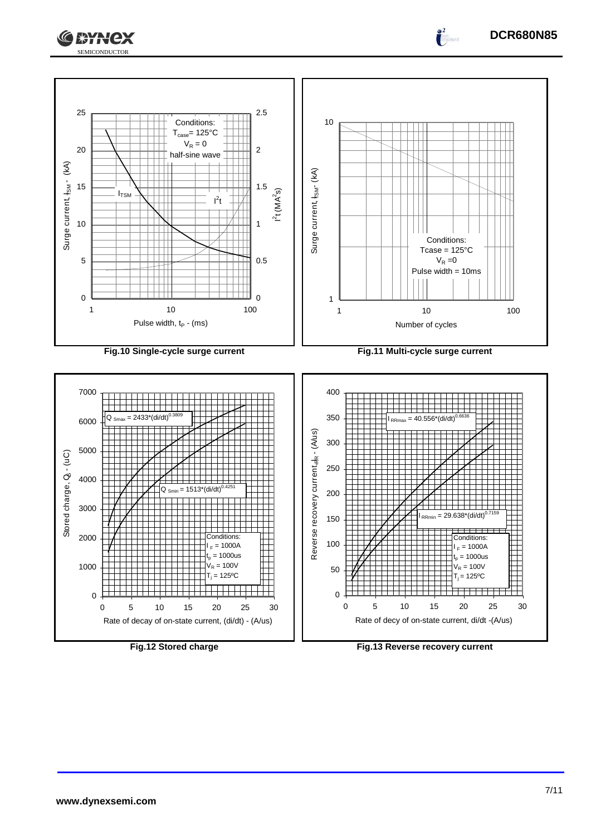



**www.dynexsemi.com**

**DCR680N85**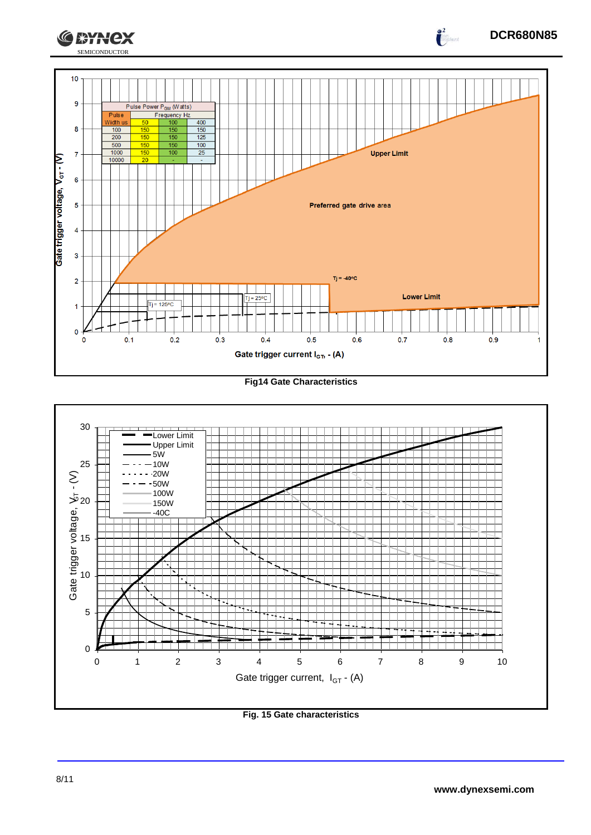

**Fig14 Gate Characteristics**



**Fig. 15 Gate characteristics**

**DCR680N85**

 $\int_{0}^{2}$ 

**CEYNEX**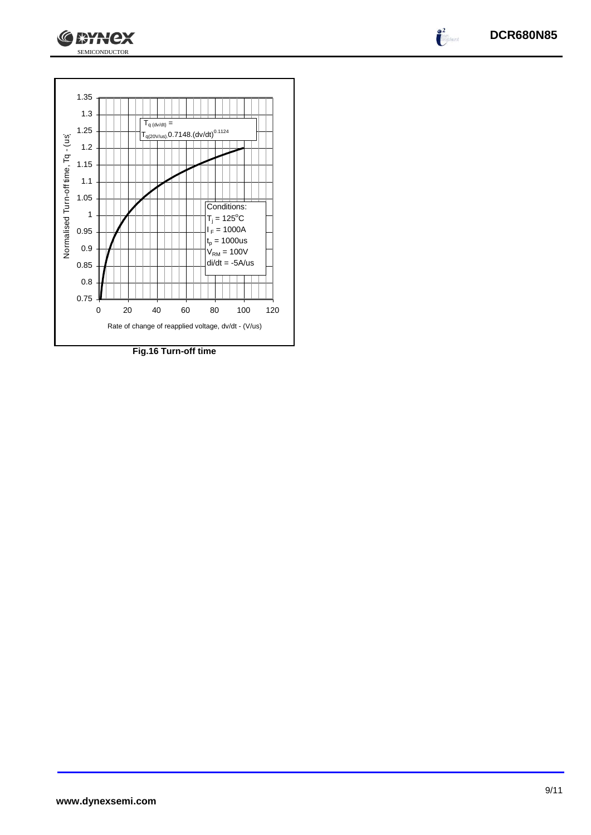



SEMICONDUCTOR

**CEYNCX** 

**Fig.16 Turn-off time**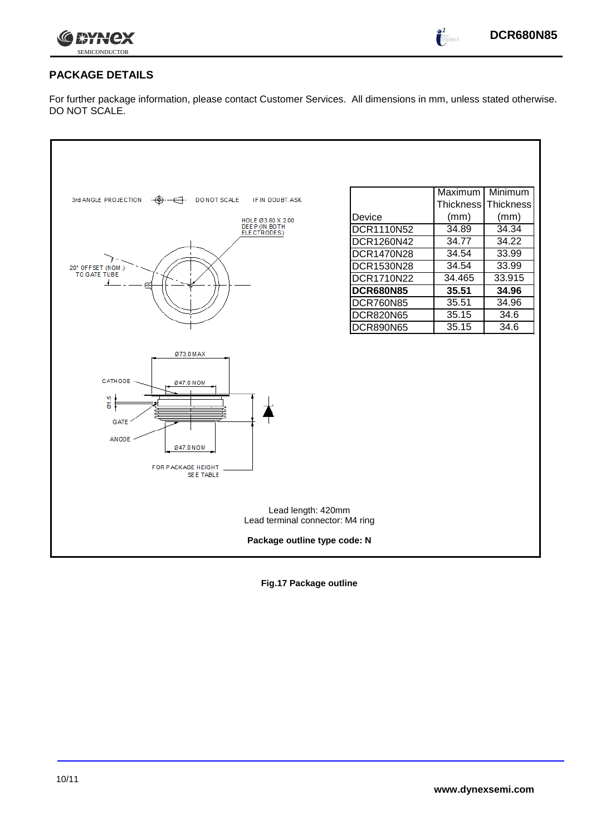

 $\int_{0}^{2}$ 

# **PACKAGE DETAILS**

For further package information, please contact Customer Services. All dimensions in mm, unless stated otherwise. DO NOT SCALE.

| 3rd ANGLE PROJECTION<br>DO NOT SCALE<br>IF IN DOUBT ASK<br>HOLE Ø3.60 X 2.00<br>DEEP (IN BOTH<br>ELECTRODES)                    | Device<br>DCR1110N52 | Maximum<br><b>Thickness</b><br>(mm)<br>34.89 | Minimum<br>Thickness<br>(mm)<br>34.34 |
|---------------------------------------------------------------------------------------------------------------------------------|----------------------|----------------------------------------------|---------------------------------------|
|                                                                                                                                 | DCR1260N42           | 34.77                                        | 34.22                                 |
|                                                                                                                                 | <b>DCR1470N28</b>    | 34.54                                        | 33.99                                 |
| 20° OFFSET (NOM.)<br>TO GATE TUBE                                                                                               | DCR1530N28           | 34.54                                        | 33.99                                 |
|                                                                                                                                 | DCR1710N22           | 34.465                                       | 33.915                                |
|                                                                                                                                 | <b>DCR680N85</b>     | 35.51                                        | 34.96                                 |
|                                                                                                                                 | <b>DCR760N85</b>     | 35.51                                        | 34.96                                 |
|                                                                                                                                 | <b>DCR820N65</b>     | 35.15                                        | 34.6                                  |
|                                                                                                                                 | <b>DCR890N65</b>     | 35.15                                        | 34.6                                  |
| Ø73.0 MAX<br>CATHODE<br>Ø47.0 NOM<br>er.5<br><b>GATE</b><br><b>ANODE</b><br>Ø47.0 NOM<br>FOR PACKAGE HEIGHT<br><b>SEE TABLE</b> |                      |                                              |                                       |
| Lead length: 420mm<br>Lead terminal connector: M4 ring                                                                          |                      |                                              |                                       |
| Package outline type code: N                                                                                                    |                      |                                              |                                       |

**Fig.17 Package outline**